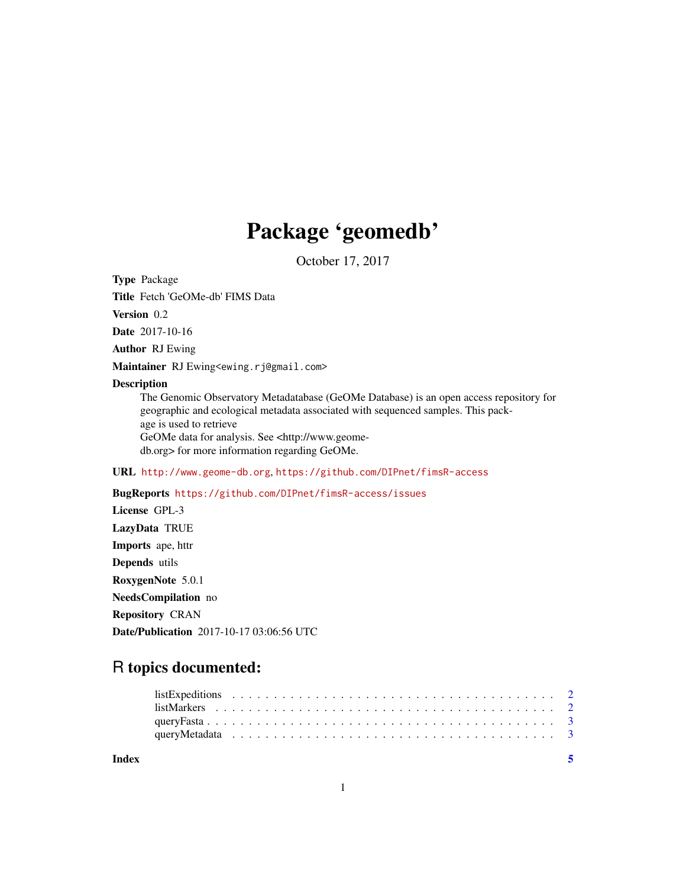## Package 'geomedb'

October 17, 2017

Type Package

Title Fetch 'GeOMe-db' FIMS Data

Version 0.2

Date 2017-10-16

Author RJ Ewing

Maintainer RJ Ewing<ewing.rj@gmail.com>

#### Description

The Genomic Observatory Metadatabase (GeOMe Database) is an open access repository for geographic and ecological metadata associated with sequenced samples. This package is used to retrieve GeOMe data for analysis. See <http://www.geomedb.org> for more information regarding GeOMe.

#### URL <http://www.geome-db.org>, <https://github.com/DIPnet/fimsR-access>

#### BugReports <https://github.com/DIPnet/fimsR-access/issues>

License GPL-3 LazyData TRUE Imports ape, httr Depends utils RoxygenNote 5.0.1 NeedsCompilation no Repository CRAN Date/Publication 2017-10-17 03:06:56 UTC

### R topics documented:

| Index |  |  |  |  |  |  |  |  |  |  |  |  |  |  |  |  |  |  |  |
|-------|--|--|--|--|--|--|--|--|--|--|--|--|--|--|--|--|--|--|--|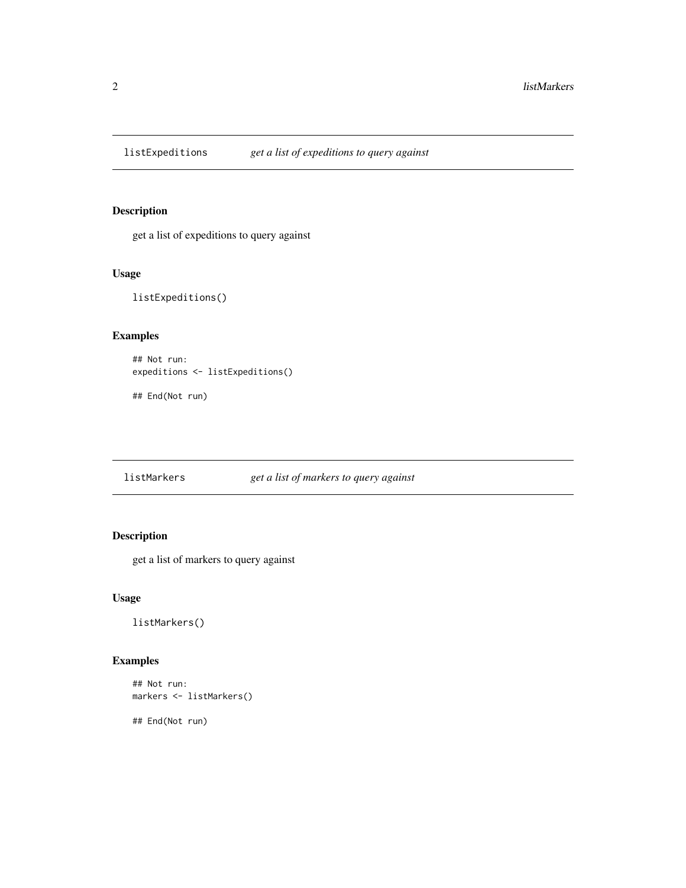<span id="page-1-0"></span>listExpeditions *get a list of expeditions to query against*

#### Description

get a list of expeditions to query against

#### Usage

listExpeditions()

#### Examples

```
## Not run:
expeditions <- listExpeditions()
```
## End(Not run)

listMarkers *get a list of markers to query against*

#### Description

get a list of markers to query against

#### Usage

listMarkers()

#### Examples

```
## Not run:
markers <- listMarkers()
```
## End(Not run)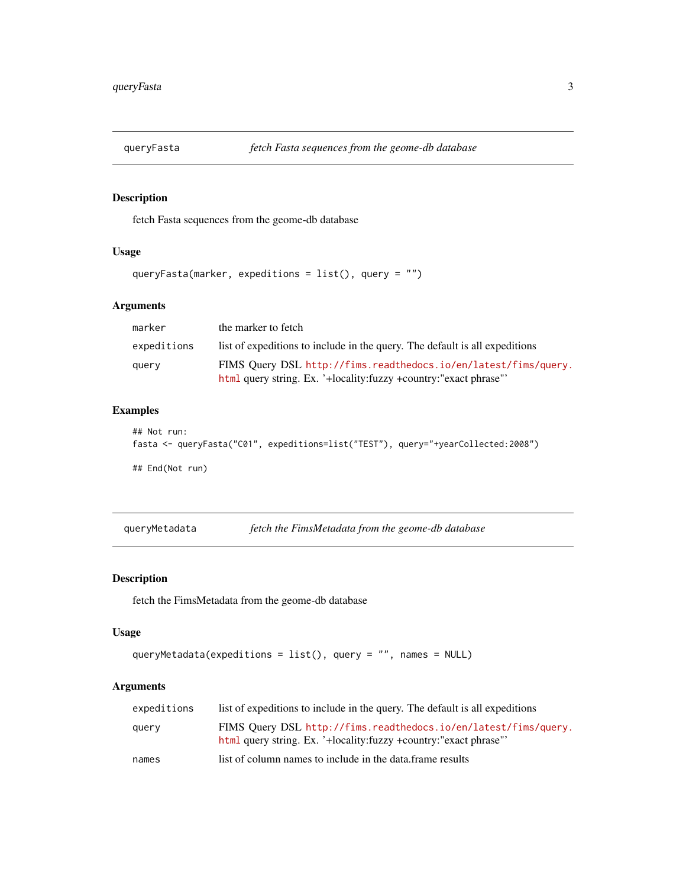<span id="page-2-0"></span>

#### Description

fetch Fasta sequences from the geome-db database

#### Usage

```
queryFasta(marker, expeditions = list(), query = "")
```
#### Arguments

| marker      | the marker to fetch                                                                                                                    |
|-------------|----------------------------------------------------------------------------------------------------------------------------------------|
| expeditions | list of expeditions to include in the query. The default is all expeditions                                                            |
| query       | FIMS Query DSL http://fims.readthedocs.io/en/latest/fims/query.<br>html query string. Ex. '+locality: fuzzy + country: "exact phrase"' |

#### Examples

```
## Not run:
fasta <- queryFasta("C01", expeditions=list("TEST"), query="+yearCollected:2008")
## End(Not run)
```
queryMetadata *fetch the FimsMetadata from the geome-db database*

#### Description

fetch the FimsMetadata from the geome-db database

#### Usage

```
queryMetadata(expeditions = list(), query = "", names = NULL)
```
#### Arguments

| expeditions | list of expeditions to include in the query. The default is all expeditions                                                            |
|-------------|----------------------------------------------------------------------------------------------------------------------------------------|
| querv       | FIMS Ouery DSL http://fims.readthedocs.io/en/latest/fims/query.<br>html query string. Ex. '+locality: fuzzy + country: "exact phrase"' |
| names       | list of column names to include in the data frame results                                                                              |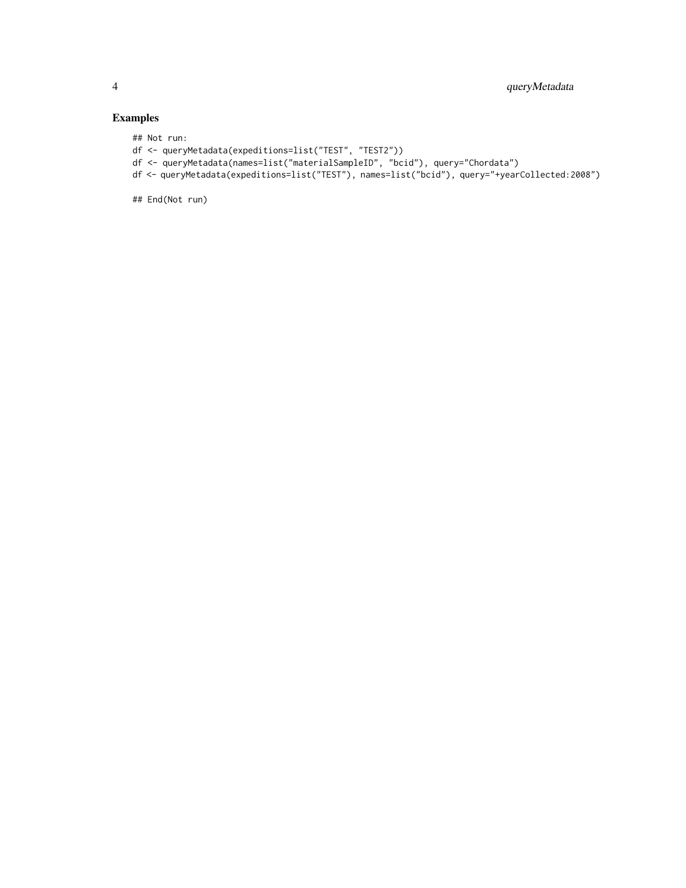#### Examples

## Not run:

- df <- queryMetadata(expeditions=list("TEST", "TEST2"))
- df <- queryMetadata(names=list("materialSampleID", "bcid"), query="Chordata")
- df <- queryMetadata(expeditions=list("TEST"), names=list("bcid"), query="+yearCollected:2008")

## End(Not run)